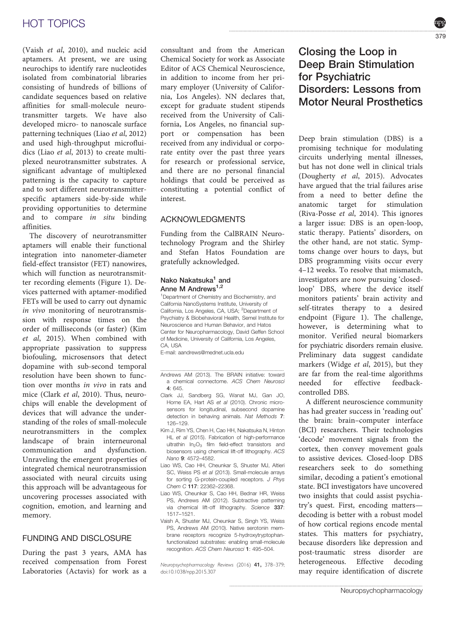### HOT TOPICS

(Vaish et al, 2010), and nucleic acid aptamers. At present, we are using neurochips to identify rare nucleotides isolated from combinatorial libraries consisting of hundreds of billions of candidate sequences based on relative affinities for small-molecule neurotransmitter targets. We have also developed micro- to nanoscale surface patterning techniques (Liao et al, 2012) and used high-throughput microfluidics (Liao et al, 2013) to create multiplexed neurotransmitter substrates. A significant advantage of multiplexed patterning is the capacity to capture and to sort different neurotransmitterspecific aptamers side-by-side while providing opportunities to determine and to compare in situ binding affinities.

The discovery of neurotransmitter aptamers will enable their functional integration into nanometer-diameter field-effect transistor (FET) nanowires, which will function as neurotransmitter recording elements (Figure 1). Devices patterned with aptamer-modified FETs will be used to carry out dynamic in vivo monitoring of neurotransmission with response times on the order of milliseconds (or faster) (Kim et al, 2015). When combined with appropriate passivation to suppress biofouling, microsensors that detect dopamine with sub-second temporal resolution have been shown to function over months in vivo in rats and mice (Clark et al, 2010). Thus, neurochips will enable the development of devices that will advance the understanding of the roles of small-molecule neurotransmitters in the complex landscape of brain interneuronal communication and dysfunction. Unraveling the emergent properties of integrated chemical neurotransmission associated with neural circuits using this approach will be advantageous for uncovering processes associated with cognition, emotion, and learning and memory.

## FUNDING AND DISCLOSURE

During the past 3 years, AMA has received compensation from Forest Laboratories (Actavis) for work as a consultant and from the American Chemical Society for work as Associate Editor of ACS Chemical Neuroscience, in addition to income from her primary employer (University of California, Los Angeles). NN declares that, except for graduate student stipends received from the University of California, Los Angeles, no financial support or compensation has been received from any individual or corporate entity over the past three years for research or professional service, and there are no personal financial holdings that could be perceived as constituting a potential conflict of interest.

#### **ACKNOWLEDGMENTS** ACKNOWLEDGMENTS

Funding from the CalBRAIN Neurotechnology Program and the Shirley and Stefan Hatos Foundation are gratefully acknowledged.

#### Nako Nakatsuka<sup>1</sup> and Anne M Andrews<sup>1,2</sup>

<sup>1</sup>Department of Chemistry and Biochemistry, and California NanoSystems Institute, University of California, Los Angeles, CA, USA; <sup>2</sup>Department of Psychiatry & Biobehavioral Health, Semel Institute for Neuroscience and Human Behavior, and Hatos Center for Neuropharmacology, David Geffen School of Medicine, University of California, Los Angeles, CA, USA

E-mail: aandrews@mednet.ucla.edu

- Clark JJ, Sandberg SG, Wanat MJ, Gan JO, Horne EA, Hart AS et al (2010). Chronic microsensors for longitudinal, subsecond dopamine detection in behaving animals. Nat Methods 7: 126–129.
- Kim J, Rim YS, Chen H, Cao HH, Nakatsuka N, Hinton HL et al (2015). Fabrication of high-performance ultrathin  $In_2O_3$  film field-effect transistors and biosensors using chemical lift-off lithography. ACS Nano 9: 4572–4582.
- Liao WS, Cao HH, Cheunkar S, Shuster MJ, Altieri SC, Weiss PS et al (2013). Small-molecule arrays for sorting G-protein-coupled receptors. J Phys Chem C 117: 22362–22368.
- Liao WS, Cheunkar S, Cao HH, Bednar HR, Weiss PS, Andrews AM (2012). Subtractive patterning via chemical lift-off lithography. Science 337: 1517–1521.
- Vaish A, Shuster MJ, Cheunkar S, Singh YS, Weiss PS, Andrews AM (2010). Native serotonin membrane receptors recognize 5-hydroxytryptophanfunctionalized substrates: enabling small-molecule recognition. ACS Chem Neurosci 1: 495–504.

Neuropsychopharmacology Reviews (2016) 41, 378–379; doi:10.1038/npp.2015.307

Closing the Loop in Deep Brain Stimulation for Psychiatric Disorders: Lessons from Motor Neural Prosthetics

Deep brain stimulation (DBS) is a promising technique for modulating circuits underlying mental illnesses, but has not done well in clinical trials (Dougherty et al, 2015). Advocates have argued that the trial failures arise from a need to better define the anatomic target for stimulation (Riva-Posse et al, 2014). This ignores a larger issue: DBS is an open-loop, static therapy. Patients' disorders, on the other hand, are not static. Symptoms change over hours to days, but DBS programming visits occur every 4–12 weeks. To resolve that mismatch, investigators are now pursuing 'closedloop' DBS, where the device itself monitors patients' brain activity and self-titrates therapy to a desired endpoint (Figure 1). The challenge, however, is determining what to monitor. Verified neural biomarkers for psychiatric disorders remain elusive. Preliminary data suggest candidate markers (Widge et al, 2015), but they are far from the real-time algorithms needed for effective feedbackcontrolled DBS.

A different neuroscience community has had greater success in 'reading out' the brain: brain–computer interface (BCI) researchers. Their technologies 'decode' movement signals from the cortex, then convey movement goals to assistive devices. Closed-loop DBS researchers seek to do something similar, decoding a patient's emotional state. BCI investigators have uncovered two insights that could assist psychiatry's quest. First, encoding matters decoding is better with a robust model of how cortical regions encode mental states. This matters for psychiatry, because disorders like depression and post-traumatic stress disorder are heterogeneous. Effective decoding may require identification of discrete

<sup>..............................................................................................</sup> Andrews AM (2013). The BRAIN initiative: toward a chemical connectome. ACS Chem Neurosci  $4.645$